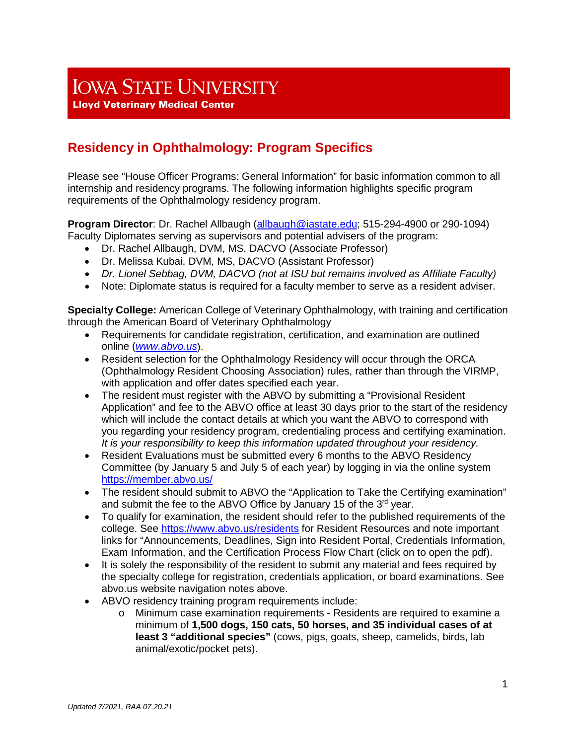# **IOWA STATE UNIVERSITY**

**Lloyd Veterinary Medical Center** 

# **Residency in Ophthalmology: Program Specifics**

Please see "House Officer Programs: General Information" for basic information common to all internship and residency programs. The following information highlights specific program requirements of the Ophthalmology residency program.

**Program Director**: Dr. Rachel Allbaugh [\(allbaugh@iastate.edu;](mailto:allbaugh@iastate.edu) 515-294-4900 or 290-1094) Faculty Diplomates serving as supervisors and potential advisers of the program:

- Dr. Rachel Allbaugh, DVM, MS, DACVO (Associate Professor)
- Dr. Melissa Kubai, DVM, MS, DACVO (Assistant Professor)
- *Dr. Lionel Sebbag, DVM, DACVO (not at ISU but remains involved as Affiliate Faculty)*
- Note: Diplomate status is required for a faculty member to serve as a resident adviser.

**Specialty College:** American College of Veterinary Ophthalmology, with training and certification through the American Board of Veterinary Ophthalmology

- Requirements for candidate registration, certification, and examination are outlined online (*[www.abvo.us](http://www.abvo.us/)*).
- Resident selection for the Ophthalmology Residency will occur through the ORCA (Ophthalmology Resident Choosing Association) rules, rather than through the VIRMP, with application and offer dates specified each year.
- The resident must register with the ABVO by submitting a "Provisional Resident" Application" and fee to the ABVO office at least 30 days prior to the start of the residency which will include the contact details at which you want the ABVO to correspond with you regarding your residency program, credentialing process and certifying examination. *It is your responsibility to keep this information updated throughout your residency.*
- Resident Evaluations must be submitted every 6 months to the ABVO Residency Committee (by January 5 and July 5 of each year) by logging in via the online system <https://member.abvo.us/>
- The resident should submit to ABVO the "Application to Take the Certifying examination" and submit the fee to the ABVO Office by January 15 of the 3<sup>rd</sup> year.
- To qualify for examination, the resident should refer to the published requirements of the college. See<https://www.abvo.us/residents> for Resident Resources and note important links for "Announcements, Deadlines, Sign into Resident Portal, Credentials Information, Exam Information, and the Certification Process Flow Chart (click on to open the pdf).
- It is solely the responsibility of the resident to submit any material and fees required by the specialty college for registration, credentials application, or board examinations. See abvo.us website navigation notes above.
- ABVO residency training program requirements include:
	- o Minimum case examination requirements Residents are required to examine a minimum of **1,500 dogs, 150 cats, 50 horses, and 35 individual cases of at least 3 "additional species"** (cows, pigs, goats, sheep, camelids, birds, lab animal/exotic/pocket pets).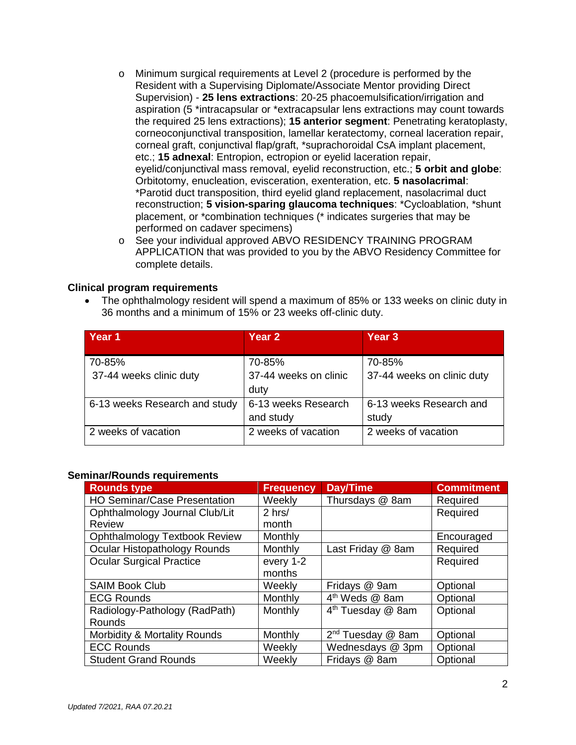- o Minimum surgical requirements at Level 2 (procedure is performed by the Resident with a Supervising Diplomate/Associate Mentor providing Direct Supervision) - **25 lens extractions**: 20-25 phacoemulsification/irrigation and aspiration (5 \*intracapsular or \*extracapsular lens extractions may count towards the required 25 lens extractions); **15 anterior segment**: Penetrating keratoplasty, corneoconjunctival transposition, lamellar keratectomy, corneal laceration repair, corneal graft, conjunctival flap/graft, \*suprachoroidal CsA implant placement, etc.; **15 adnexal**: Entropion, ectropion or eyelid laceration repair, eyelid/conjunctival mass removal, eyelid reconstruction, etc.; **5 orbit and globe**: Orbitotomy, enucleation, evisceration, exenteration, etc. **5 nasolacrimal**: \*Parotid duct transposition, third eyelid gland replacement, nasolacrimal duct reconstruction; **5 vision-sparing glaucoma techniques**: \*Cycloablation, \*shunt placement, or \*combination techniques (\* indicates surgeries that may be performed on cadaver specimens)
- o See your individual approved ABVO RESIDENCY TRAINING PROGRAM APPLICATION that was provided to you by the ABVO Residency Committee for complete details.

#### **Clinical program requirements**

• The ophthalmology resident will spend a maximum of 85% or 133 weeks on clinic duty in 36 months and a minimum of 15% or 23 weeks off-clinic duty.

| Year 1                        | Year 2                        | Year <sub>3</sub>          |
|-------------------------------|-------------------------------|----------------------------|
| 70-85%                        | 70-85%                        | 70-85%                     |
| 37-44 weeks clinic duty       | 37-44 weeks on clinic<br>duty | 37-44 weeks on clinic duty |
| 6-13 weeks Research and study | 6-13 weeks Research           | 6-13 weeks Research and    |
|                               | and study                     | study                      |
| 2 weeks of vacation           | 2 weeks of vacation           | 2 weeks of vacation        |

#### **Seminar/Rounds requirements**

| <b>Rounds type</b>                      | <b>Frequency</b> | Day/Time                      | <b>Commitment</b> |
|-----------------------------------------|------------------|-------------------------------|-------------------|
| <b>HO Seminar/Case Presentation</b>     | Weekly           | Thursdays @ 8am               | Required          |
| Ophthalmology Journal Club/Lit          | $2$ hrs/         |                               | Required          |
| <b>Review</b>                           | month            |                               |                   |
| <b>Ophthalmology Textbook Review</b>    | Monthly          |                               | Encouraged        |
| Ocular Histopathology Rounds            | <b>Monthly</b>   | Last Friday @ 8am             | Required          |
| <b>Ocular Surgical Practice</b>         | every 1-2        |                               | Required          |
|                                         | months           |                               |                   |
| <b>SAIM Book Club</b>                   | Weekly           | Fridays @ 9am                 | Optional          |
| <b>ECG Rounds</b>                       | Monthly          | 4 <sup>th</sup> Weds @ 8am    | Optional          |
| Radiology-Pathology (RadPath)           | Monthly          | 4 <sup>th</sup> Tuesday @ 8am | Optional          |
| Rounds                                  |                  |                               |                   |
| <b>Morbidity &amp; Mortality Rounds</b> | Monthly          | 2 <sup>nd</sup> Tuesday @ 8am | Optional          |
| <b>ECC Rounds</b>                       | Weekly           | Wednesdays @ 3pm              | Optional          |
| <b>Student Grand Rounds</b>             | Weekly           | Fridays @ 8am                 | Optional          |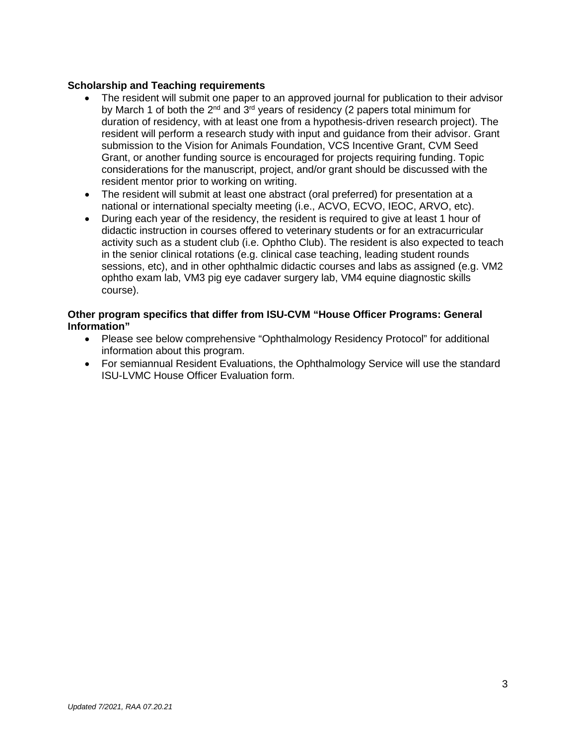#### **Scholarship and Teaching requirements**

- The resident will submit one paper to an approved journal for publication to their advisor by March 1 of both the  $2^{nd}$  and  $3^{rd}$  years of residency (2 papers total minimum for duration of residency, with at least one from a hypothesis-driven research project). The resident will perform a research study with input and guidance from their advisor. Grant submission to the Vision for Animals Foundation, VCS Incentive Grant, CVM Seed Grant, or another funding source is encouraged for projects requiring funding. Topic considerations for the manuscript, project, and/or grant should be discussed with the resident mentor prior to working on writing.
- The resident will submit at least one abstract (oral preferred) for presentation at a national or international specialty meeting (i.e., ACVO, ECVO, IEOC, ARVO, etc).
- During each year of the residency, the resident is required to give at least 1 hour of didactic instruction in courses offered to veterinary students or for an extracurricular activity such as a student club (i.e. Ophtho Club). The resident is also expected to teach in the senior clinical rotations (e.g. clinical case teaching, leading student rounds sessions, etc), and in other ophthalmic didactic courses and labs as assigned (e.g. VM2 ophtho exam lab, VM3 pig eye cadaver surgery lab, VM4 equine diagnostic skills course).

#### **Other program specifics that differ from ISU-CVM "House Officer Programs: General Information"**

- Please see below comprehensive "Ophthalmology Residency Protocol" for additional information about this program.
- For semiannual Resident Evaluations, the Ophthalmology Service will use the standard ISU-LVMC House Officer Evaluation form.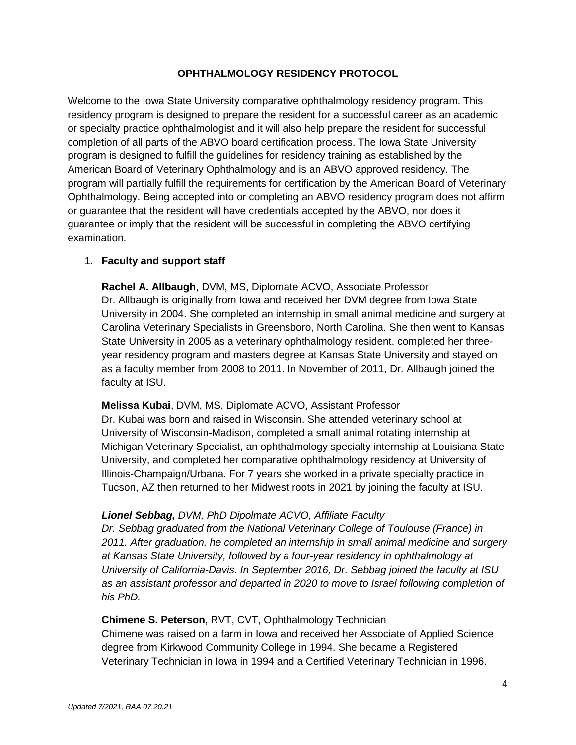#### **OPHTHALMOLOGY RESIDENCY PROTOCOL**

Welcome to the Iowa State University comparative ophthalmology residency program. This residency program is designed to prepare the resident for a successful career as an academic or specialty practice ophthalmologist and it will also help prepare the resident for successful completion of all parts of the ABVO board certification process. The Iowa State University program is designed to fulfill the guidelines for residency training as established by the American Board of Veterinary Ophthalmology and is an ABVO approved residency. The program will partially fulfill the requirements for certification by the American Board of Veterinary Ophthalmology. Being accepted into or completing an ABVO residency program does not affirm or guarantee that the resident will have credentials accepted by the ABVO, nor does it guarantee or imply that the resident will be successful in completing the ABVO certifying examination.

#### 1. **Faculty and support staff**

**Rachel A. Allbaugh**, DVM, MS, Diplomate ACVO, Associate Professor Dr. Allbaugh is originally from Iowa and received her DVM degree from Iowa State University in 2004. She completed an internship in small animal medicine and surgery at Carolina Veterinary Specialists in Greensboro, North Carolina. She then went to Kansas State University in 2005 as a veterinary ophthalmology resident, completed her threeyear residency program and masters degree at Kansas State University and stayed on as a faculty member from 2008 to 2011. In November of 2011, Dr. Allbaugh joined the faculty at ISU.

#### **Melissa Kubai**, DVM, MS, Diplomate ACVO, Assistant Professor

Dr. Kubai was born and raised in Wisconsin. She attended veterinary school at University of Wisconsin-Madison, completed a small animal rotating internship at Michigan Veterinary Specialist, an ophthalmology specialty internship at Louisiana State University, and completed her comparative ophthalmology residency at University of Illinois-Champaign/Urbana. For 7 years she worked in a private specialty practice in Tucson, AZ then returned to her Midwest roots in 2021 by joining the faculty at ISU.

#### *Lionel Sebbag, DVM, PhD Dipolmate ACVO, Affiliate Faculty*

*Dr. Sebbag graduated from the National Veterinary College of Toulouse (France) in 2011. After graduation, he completed an internship in small animal medicine and surgery at Kansas State University, followed by a four-year residency in ophthalmology at University of California-Davis. In September 2016, Dr. Sebbag joined the faculty at ISU as an assistant professor and departed in 2020 to move to Israel following completion of his PhD.*

#### **Chimene S. Peterson**, RVT, CVT, Ophthalmology Technician

Chimene was raised on a farm in Iowa and received her Associate of Applied Science degree from Kirkwood Community College in 1994. She became a Registered Veterinary Technician in Iowa in 1994 and a Certified Veterinary Technician in 1996.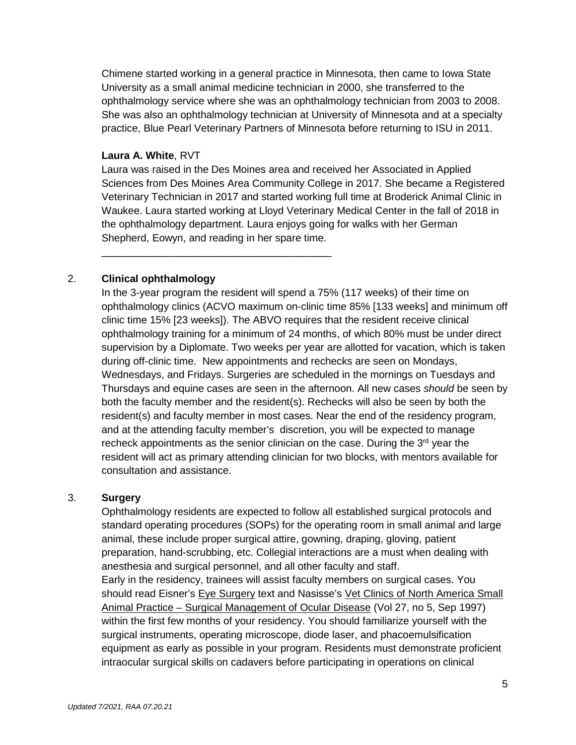Chimene started working in a general practice in Minnesota, then came to Iowa State University as a small animal medicine technician in 2000, she transferred to the ophthalmology service where she was an ophthalmology technician from 2003 to 2008. She was also an ophthalmology technician at University of Minnesota and at a specialty practice, Blue Pearl Veterinary Partners of Minnesota before returning to ISU in 2011.

#### **Laura A. White**, RVT

Laura was raised in the Des Moines area and received her Associated in Applied Sciences from Des Moines Area Community College in 2017. She became a Registered Veterinary Technician in 2017 and started working full time at Broderick Animal Clinic in Waukee. Laura started working at Lloyd Veterinary Medical Center in the fall of 2018 in the ophthalmology department. Laura enjoys going for walks with her German Shepherd, Eowyn, and reading in her spare time.

2. **Clinical ophthalmology**

\_\_\_\_\_\_\_\_\_\_\_\_\_\_\_\_\_\_\_\_\_\_\_\_\_\_\_\_\_\_\_\_\_\_\_\_\_\_\_\_

In the 3-year program the resident will spend a 75% (117 weeks) of their time on ophthalmology clinics (ACVO maximum on-clinic time 85% [133 weeks] and minimum off clinic time 15% [23 weeks]). The ABVO requires that the resident receive clinical ophthalmology training for a minimum of 24 months, of which 80% must be under direct supervision by a Diplomate. Two weeks per year are allotted for vacation, which is taken during off-clinic time. New appointments and rechecks are seen on Mondays, Wednesdays, and Fridays. Surgeries are scheduled in the mornings on Tuesdays and Thursdays and equine cases are seen in the afternoon. All new cases *should* be seen by both the faculty member and the resident(s). Rechecks will also be seen by both the resident(s) and faculty member in most cases. Near the end of the residency program, and at the attending faculty member's discretion, you will be expected to manage recheck appointments as the senior clinician on the case. During the  $3<sup>rd</sup>$  year the resident will act as primary attending clinician for two blocks, with mentors available for consultation and assistance.

#### 3. **Surgery**

Ophthalmology residents are expected to follow all established surgical protocols and standard operating procedures (SOPs) for the operating room in small animal and large animal, these include proper surgical attire, gowning, draping, gloving, patient preparation, hand-scrubbing, etc. Collegial interactions are a must when dealing with anesthesia and surgical personnel, and all other faculty and staff. Early in the residency, trainees will assist faculty members on surgical cases. You should read Eisner's Eye Surgery text and Nasisse's Vet Clinics of North America Small Animal Practice – Surgical Management of Ocular Disease (Vol 27, no 5, Sep 1997) within the first few months of your residency. You should familiarize yourself with the surgical instruments, operating microscope, diode laser, and phacoemulsification equipment as early as possible in your program. Residents must demonstrate proficient intraocular surgical skills on cadavers before participating in operations on clinical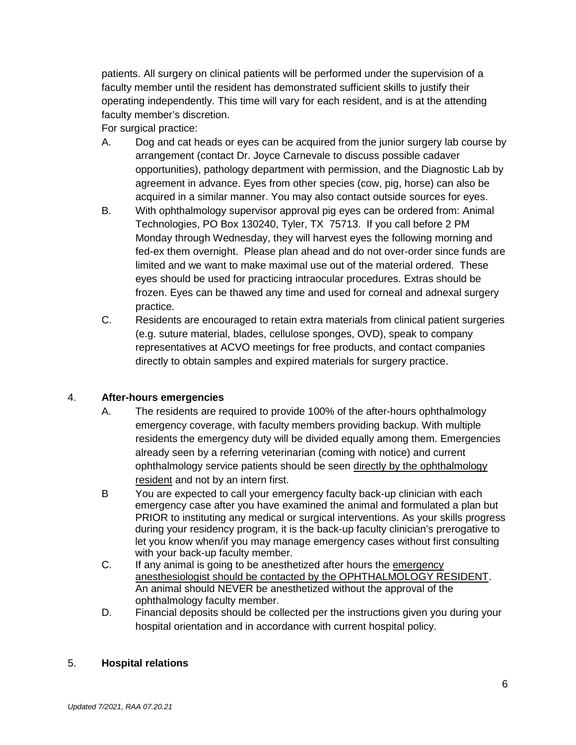patients. All surgery on clinical patients will be performed under the supervision of a faculty member until the resident has demonstrated sufficient skills to justify their operating independently. This time will vary for each resident, and is at the attending faculty member's discretion.

For surgical practice:

- A. Dog and cat heads or eyes can be acquired from the junior surgery lab course by arrangement (contact Dr. Joyce Carnevale to discuss possible cadaver opportunities), pathology department with permission, and the Diagnostic Lab by agreement in advance. Eyes from other species (cow, pig, horse) can also be acquired in a similar manner. You may also contact outside sources for eyes.
- B. With ophthalmology supervisor approval pig eyes can be ordered from: Animal Technologies, PO Box 130240, Tyler, TX 75713. If you call before 2 PM Monday through Wednesday, they will harvest eyes the following morning and fed-ex them overnight. Please plan ahead and do not over-order since funds are limited and we want to make maximal use out of the material ordered. These eyes should be used for practicing intraocular procedures. Extras should be frozen. Eyes can be thawed any time and used for corneal and adnexal surgery practice.
- C. Residents are encouraged to retain extra materials from clinical patient surgeries (e.g. suture material, blades, cellulose sponges, OVD), speak to company representatives at ACVO meetings for free products, and contact companies directly to obtain samples and expired materials for surgery practice.

#### 4. **After-hours emergencies**

- A. The residents are required to provide 100% of the after-hours ophthalmology emergency coverage, with faculty members providing backup. With multiple residents the emergency duty will be divided equally among them. Emergencies already seen by a referring veterinarian (coming with notice) and current ophthalmology service patients should be seen directly by the ophthalmology resident and not by an intern first.
- B You are expected to call your emergency faculty back-up clinician with each emergency case after you have examined the animal and formulated a plan but PRIOR to instituting any medical or surgical interventions. As your skills progress during your residency program, it is the back-up faculty clinician's prerogative to let you know when/if you may manage emergency cases without first consulting with your back-up faculty member.
- C. If any animal is going to be anesthetized after hours the emergency anesthesiologist should be contacted by the OPHTHALMOLOGY RESIDENT. An animal should NEVER be anesthetized without the approval of the ophthalmology faculty member.
- D. Financial deposits should be collected per the instructions given you during your hospital orientation and in accordance with current hospital policy.

#### 5. **Hospital relations**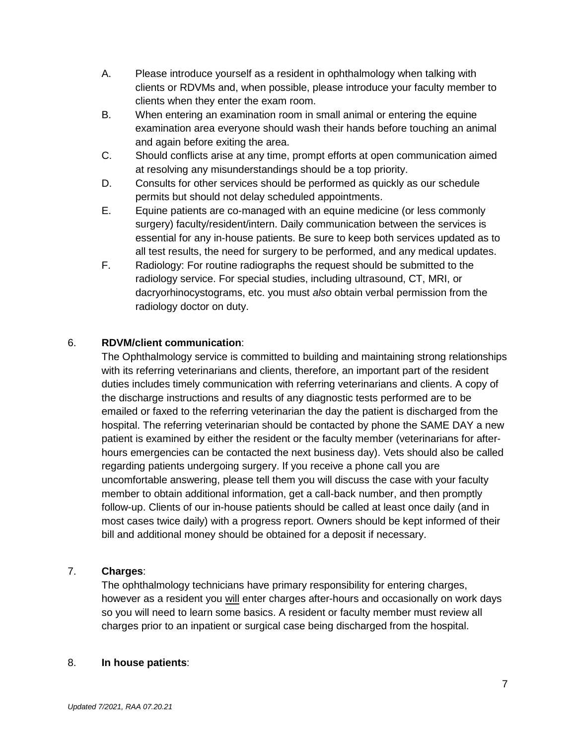- A. Please introduce yourself as a resident in ophthalmology when talking with clients or RDVMs and, when possible, please introduce your faculty member to clients when they enter the exam room.
- B. When entering an examination room in small animal or entering the equine examination area everyone should wash their hands before touching an animal and again before exiting the area.
- C. Should conflicts arise at any time, prompt efforts at open communication aimed at resolving any misunderstandings should be a top priority.
- D. Consults for other services should be performed as quickly as our schedule permits but should not delay scheduled appointments.
- E. Equine patients are co-managed with an equine medicine (or less commonly surgery) faculty/resident/intern. Daily communication between the services is essential for any in-house patients. Be sure to keep both services updated as to all test results, the need for surgery to be performed, and any medical updates.
- F. Radiology: For routine radiographs the request should be submitted to the radiology service. For special studies, including ultrasound, CT, MRI, or dacryorhinocystograms, etc. you must *also* obtain verbal permission from the radiology doctor on duty.

# 6. **RDVM/client communication**:

The Ophthalmology service is committed to building and maintaining strong relationships with its referring veterinarians and clients, therefore, an important part of the resident duties includes timely communication with referring veterinarians and clients. A copy of the discharge instructions and results of any diagnostic tests performed are to be emailed or faxed to the referring veterinarian the day the patient is discharged from the hospital. The referring veterinarian should be contacted by phone the SAME DAY a new patient is examined by either the resident or the faculty member (veterinarians for afterhours emergencies can be contacted the next business day). Vets should also be called regarding patients undergoing surgery. If you receive a phone call you are uncomfortable answering, please tell them you will discuss the case with your faculty member to obtain additional information, get a call-back number, and then promptly follow-up. Clients of our in-house patients should be called at least once daily (and in most cases twice daily) with a progress report. Owners should be kept informed of their bill and additional money should be obtained for a deposit if necessary.

# 7. **Charges**:

The ophthalmology technicians have primary responsibility for entering charges, however as a resident you will enter charges after-hours and occasionally on work days so you will need to learn some basics. A resident or faculty member must review all charges prior to an inpatient or surgical case being discharged from the hospital.

#### 8. **In house patients**: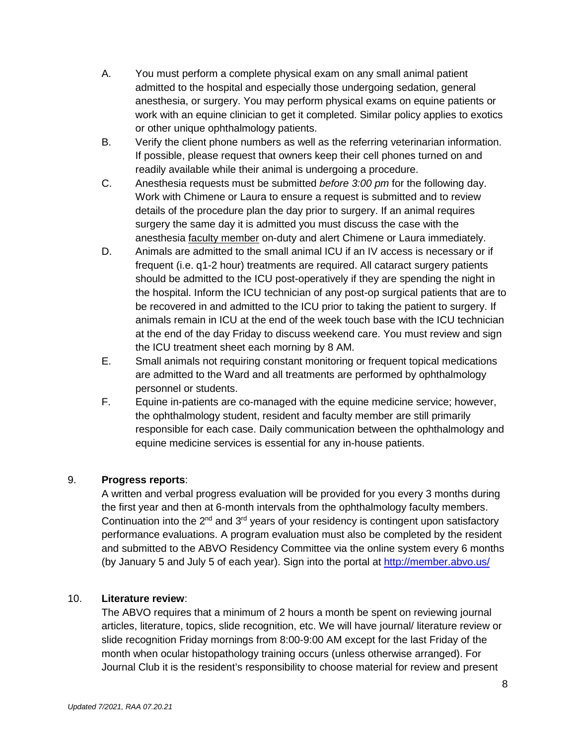- A. You must perform a complete physical exam on any small animal patient admitted to the hospital and especially those undergoing sedation, general anesthesia, or surgery. You may perform physical exams on equine patients or work with an equine clinician to get it completed. Similar policy applies to exotics or other unique ophthalmology patients.
- B. Verify the client phone numbers as well as the referring veterinarian information. If possible, please request that owners keep their cell phones turned on and readily available while their animal is undergoing a procedure.
- C. Anesthesia requests must be submitted *before 3:00 pm* for the following day. Work with Chimene or Laura to ensure a request is submitted and to review details of the procedure plan the day prior to surgery. If an animal requires surgery the same day it is admitted you must discuss the case with the anesthesia *faculty member* on-duty and alert Chimene or Laura immediately.
- D. Animals are admitted to the small animal ICU if an IV access is necessary or if frequent (i.e. q1-2 hour) treatments are required. All cataract surgery patients should be admitted to the ICU post-operatively if they are spending the night in the hospital. Inform the ICU technician of any post-op surgical patients that are to be recovered in and admitted to the ICU prior to taking the patient to surgery. If animals remain in ICU at the end of the week touch base with the ICU technician at the end of the day Friday to discuss weekend care. You must review and sign the ICU treatment sheet each morning by 8 AM.
- E. Small animals not requiring constant monitoring or frequent topical medications are admitted to the Ward and all treatments are performed by ophthalmology personnel or students.
- F. Equine in-patients are co-managed with the equine medicine service; however, the ophthalmology student, resident and faculty member are still primarily responsible for each case. Daily communication between the ophthalmology and equine medicine services is essential for any in-house patients.

# 9. **Progress reports**:

A written and verbal progress evaluation will be provided for you every 3 months during the first year and then at 6-month intervals from the ophthalmology faculty members. Continuation into the  $2^{nd}$  and  $3^{rd}$  years of your residency is contingent upon satisfactory performance evaluations. A program evaluation must also be completed by the resident and submitted to the ABVO Residency Committee via the online system every 6 months (by January 5 and July 5 of each year). Sign into the portal at<http://member.abvo.us/>

#### 10. **Literature review**:

The ABVO requires that a minimum of 2 hours a month be spent on reviewing journal articles, literature, topics, slide recognition, etc. We will have journal/ literature review or slide recognition Friday mornings from 8:00-9:00 AM except for the last Friday of the month when ocular histopathology training occurs (unless otherwise arranged). For Journal Club it is the resident's responsibility to choose material for review and present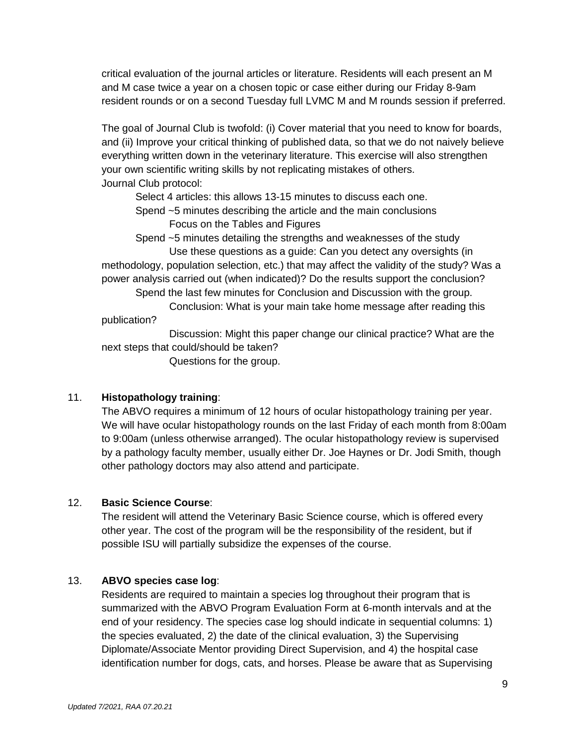critical evaluation of the journal articles or literature. Residents will each present an M and M case twice a year on a chosen topic or case either during our Friday 8-9am resident rounds or on a second Tuesday full LVMC M and M rounds session if preferred.

The goal of Journal Club is twofold: (i) Cover material that you need to know for boards, and (ii) Improve your critical thinking of published data, so that we do not naively believe everything written down in the veterinary literature. This exercise will also strengthen your own scientific writing skills by not replicating mistakes of others. Journal Club protocol:

Select 4 articles: this allows 13-15 minutes to discuss each one.

Spend ~5 minutes describing the article and the main conclusions

Focus on the Tables and Figures

Spend ~5 minutes detailing the strengths and weaknesses of the study

Use these questions as a guide: Can you detect any oversights (in methodology, population selection, etc.) that may affect the validity of the study? Was a power analysis carried out (when indicated)? Do the results support the conclusion?

Spend the last few minutes for Conclusion and Discussion with the group.

Conclusion: What is your main take home message after reading this publication?

Discussion: Might this paper change our clinical practice? What are the next steps that could/should be taken?

Questions for the group.

#### 11. **Histopathology training**:

The ABVO requires a minimum of 12 hours of ocular histopathology training per year. We will have ocular histopathology rounds on the last Friday of each month from 8:00am to 9:00am (unless otherwise arranged). The ocular histopathology review is supervised by a pathology faculty member, usually either Dr. Joe Haynes or Dr. Jodi Smith, though other pathology doctors may also attend and participate.

#### 12. **Basic Science Course**:

The resident will attend the Veterinary Basic Science course, which is offered every other year. The cost of the program will be the responsibility of the resident, but if possible ISU will partially subsidize the expenses of the course.

#### 13. **ABVO species case log**:

Residents are required to maintain a species log throughout their program that is summarized with the ABVO Program Evaluation Form at 6-month intervals and at the end of your residency. The species case log should indicate in sequential columns: 1) the species evaluated, 2) the date of the clinical evaluation, 3) the Supervising Diplomate/Associate Mentor providing Direct Supervision, and 4) the hospital case identification number for dogs, cats, and horses. Please be aware that as Supervising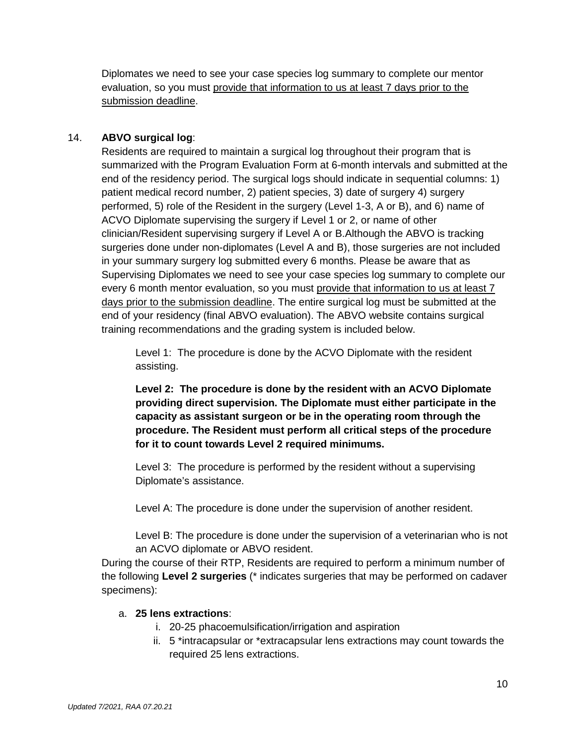Diplomates we need to see your case species log summary to complete our mentor evaluation, so you must provide that information to us at least 7 days prior to the submission deadline.

# 14. **ABVO surgical log**:

Residents are required to maintain a surgical log throughout their program that is summarized with the Program Evaluation Form at 6-month intervals and submitted at the end of the residency period. The surgical logs should indicate in sequential columns: 1) patient medical record number, 2) patient species, 3) date of surgery 4) surgery performed, 5) role of the Resident in the surgery (Level 1-3, A or B), and 6) name of ACVO Diplomate supervising the surgery if Level 1 or 2, or name of other clinician/Resident supervising surgery if Level A or B.Although the ABVO is tracking surgeries done under non-diplomates (Level A and B), those surgeries are not included in your summary surgery log submitted every 6 months. Please be aware that as Supervising Diplomates we need to see your case species log summary to complete our every 6 month mentor evaluation, so you must provide that information to us at least 7 days prior to the submission deadline. The entire surgical log must be submitted at the end of your residency (final ABVO evaluation). The ABVO website contains surgical training recommendations and the grading system is included below.

Level 1: The procedure is done by the ACVO Diplomate with the resident assisting.

**Level 2: The procedure is done by the resident with an ACVO Diplomate providing direct supervision. The Diplomate must either participate in the capacity as assistant surgeon or be in the operating room through the procedure. The Resident must perform all critical steps of the procedure for it to count towards Level 2 required minimums.**

Level 3: The procedure is performed by the resident without a supervising Diplomate's assistance.

Level A: The procedure is done under the supervision of another resident.

Level B: The procedure is done under the supervision of a veterinarian who is not an ACVO diplomate or ABVO resident.

During the course of their RTP, Residents are required to perform a minimum number of the following **Level 2 surgeries** (\* indicates surgeries that may be performed on cadaver specimens):

#### a. **25 lens extractions**:

- i. 20-25 phacoemulsification/irrigation and aspiration
- ii. 5 \*intracapsular or \*extracapsular lens extractions may count towards the required 25 lens extractions.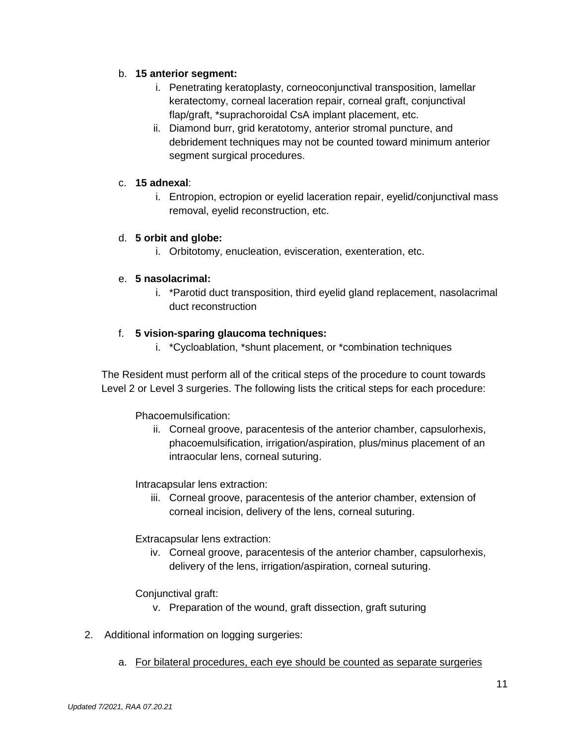# b. **15 anterior segment:**

- i. Penetrating keratoplasty, corneoconjunctival transposition, lamellar keratectomy, corneal laceration repair, corneal graft, conjunctival flap/graft, \*suprachoroidal CsA implant placement, etc.
- ii. Diamond burr, grid keratotomy, anterior stromal puncture, and debridement techniques may not be counted toward minimum anterior segment surgical procedures.

## c. **15 adnexal**:

i. Entropion, ectropion or eyelid laceration repair, eyelid/conjunctival mass removal, eyelid reconstruction, etc.

# d. **5 orbit and globe:**

i. Orbitotomy, enucleation, evisceration, exenteration, etc.

# e. **5 nasolacrimal:**

i. \*Parotid duct transposition, third eyelid gland replacement, nasolacrimal duct reconstruction

# f. **5 vision-sparing glaucoma techniques:**

i. \*Cycloablation, \*shunt placement, or \*combination techniques

The Resident must perform all of the critical steps of the procedure to count towards Level 2 or Level 3 surgeries. The following lists the critical steps for each procedure:

# Phacoemulsification:

ii. Corneal groove, paracentesis of the anterior chamber, capsulorhexis, phacoemulsification, irrigation/aspiration, plus/minus placement of an intraocular lens, corneal suturing.

# Intracapsular lens extraction:

iii. Corneal groove, paracentesis of the anterior chamber, extension of corneal incision, delivery of the lens, corneal suturing.

# Extracapsular lens extraction:

iv. Corneal groove, paracentesis of the anterior chamber, capsulorhexis, delivery of the lens, irrigation/aspiration, corneal suturing.

# Conjunctival graft:

- v. Preparation of the wound, graft dissection, graft suturing
- 2. Additional information on logging surgeries:
	- a. For bilateral procedures, each eye should be counted as separate surgeries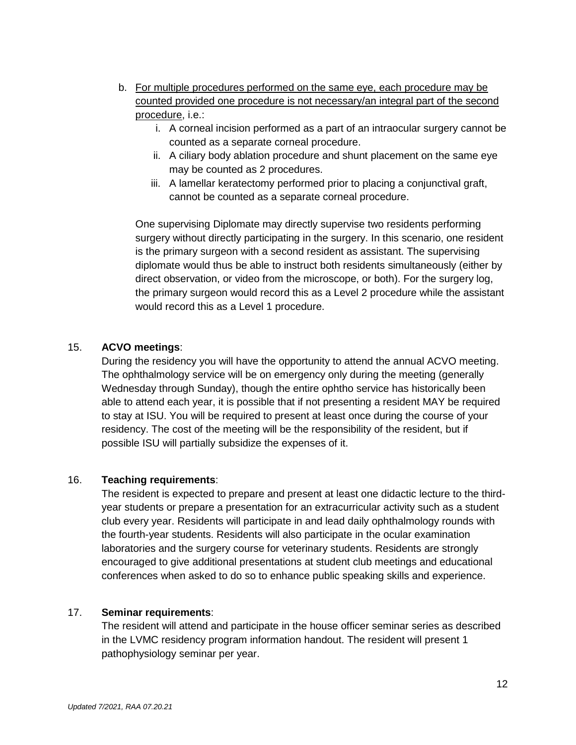- b. For multiple procedures performed on the same eye, each procedure may be counted provided one procedure is not necessary/an integral part of the second procedure, i.e.:
	- i. A corneal incision performed as a part of an intraocular surgery cannot be counted as a separate corneal procedure.
	- ii. A ciliary body ablation procedure and shunt placement on the same eye may be counted as 2 procedures.
	- iii. A lamellar keratectomy performed prior to placing a conjunctival graft, cannot be counted as a separate corneal procedure.

One supervising Diplomate may directly supervise two residents performing surgery without directly participating in the surgery. In this scenario, one resident is the primary surgeon with a second resident as assistant. The supervising diplomate would thus be able to instruct both residents simultaneously (either by direct observation, or video from the microscope, or both). For the surgery log, the primary surgeon would record this as a Level 2 procedure while the assistant would record this as a Level 1 procedure.

#### 15. **ACVO meetings**:

During the residency you will have the opportunity to attend the annual ACVO meeting. The ophthalmology service will be on emergency only during the meeting (generally Wednesday through Sunday), though the entire ophtho service has historically been able to attend each year, it is possible that if not presenting a resident MAY be required to stay at ISU. You will be required to present at least once during the course of your residency. The cost of the meeting will be the responsibility of the resident, but if possible ISU will partially subsidize the expenses of it.

#### 16. **Teaching requirements**:

The resident is expected to prepare and present at least one didactic lecture to the thirdyear students or prepare a presentation for an extracurricular activity such as a student club every year. Residents will participate in and lead daily ophthalmology rounds with the fourth-year students. Residents will also participate in the ocular examination laboratories and the surgery course for veterinary students. Residents are strongly encouraged to give additional presentations at student club meetings and educational conferences when asked to do so to enhance public speaking skills and experience.

#### 17. **Seminar requirements**:

The resident will attend and participate in the house officer seminar series as described in the LVMC residency program information handout. The resident will present 1 pathophysiology seminar per year.